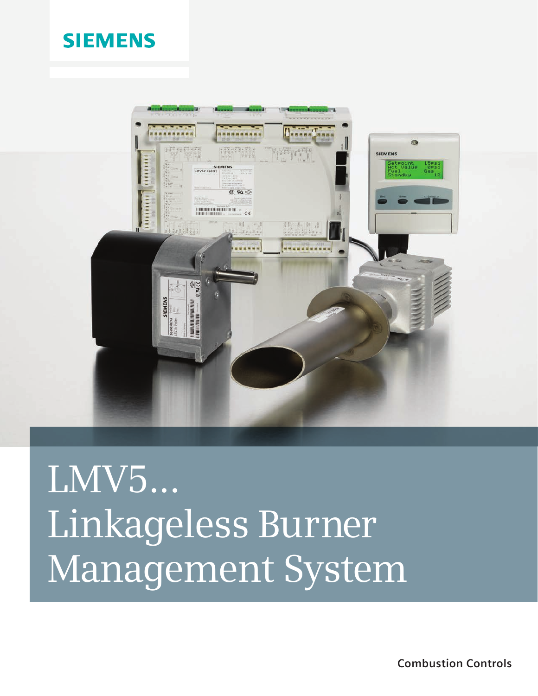# **SIEMENS**



LMV5... Linkageless Burner Management System

**Combustion Controls**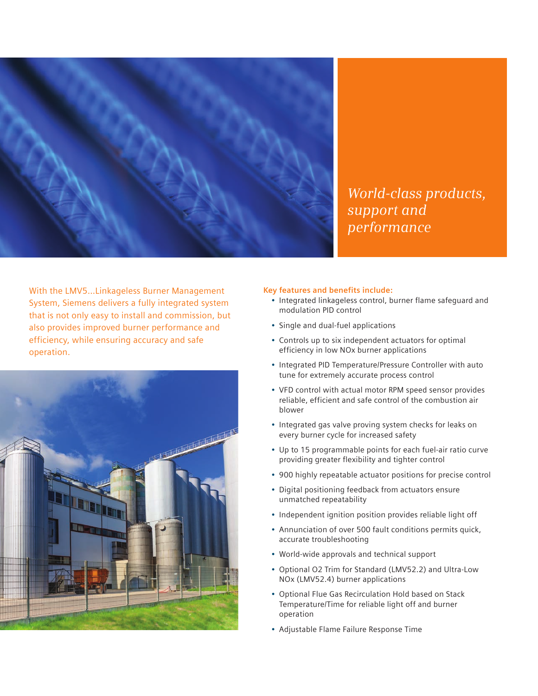

*World-class products, support and performance*

With the LMV5…Linkageless Burner Management System, Siemens delivers a fully integrated system that is not only easy to install and commission, but also provides improved burner performance and efficiency, while ensuring accuracy and safe operation.



### **Key features and benefits include:**

- Integrated linkageless control, burner flame safeguard and modulation PID control
- Single and dual-fuel applications
- Controls up to six independent actuators for optimal efficiency in low NOx burner applications
- Integrated PID Temperature/Pressure Controller with auto tune for extremely accurate process control
- VFD control with actual motor RPM speed sensor provides reliable, efficient and safe control of the combustion air blower
- Integrated gas valve proving system checks for leaks on every burner cycle for increased safety
- Up to 15 programmable points for each fuel-air ratio curve providing greater flexibility and tighter control
- 900 highly repeatable actuator positions for precise control
- Digital positioning feedback from actuators ensure unmatched repeatability
- Independent ignition position provides reliable light off
- Annunciation of over 500 fault conditions permits quick, accurate troubleshooting
- World-wide approvals and technical support
- Optional O2 Trim for Standard (LMV52.2) and Ultra-Low NOx (LMV52.4) burner applications
- Optional Flue Gas Recirculation Hold based on Stack Temperature/Time for reliable light off and burner operation
- Adjustable Flame Failure Response Time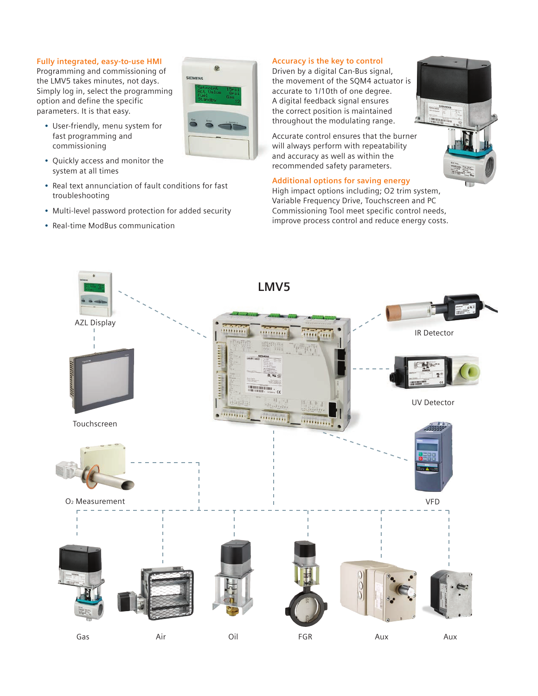# **Fully integrated, easy-to-use HMI**

Programming and commissioning of the LMV5 takes minutes, not days. Simply log in, select the programming option and define the specific parameters. It is that easy.

- User-friendly, menu system for fast programming and commissioning
- Quickly access and monitor the system at all times
- Real text annunciation of fault conditions for fast troubleshooting
- Multi-level password protection for added security
- Real-time ModBus communication

# **SIEMENS**

## **Accuracy is the key to control**

Driven by a digital Can-Bus signal, the movement of the SQM4 actuator is accurate to 1/10th of one degree. A digital feedback signal ensures the correct position is maintained throughout the modulating range.

Accurate control ensures that the burner will always perform with repeatability and accuracy as well as within the recommended safety parameters.

# **Additional options for saving energy**

Variable Frequency Drive, Touchscreen and PC Commissioning Tool meet specific control needs, improve process control and reduce energy costs.